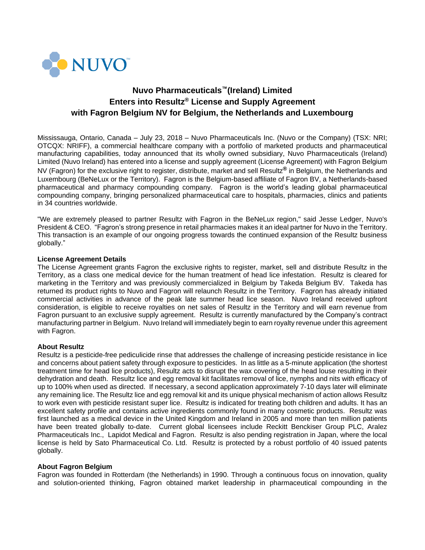

# **Nuvo Pharmaceuticals™(Ireland) Limited Enters into Resultz® License and Supply Agreement with Fagron Belgium NV for Belgium, the Netherlands and Luxembourg**

Mississauga, Ontario, Canada – July 23, 2018 – Nuvo Pharmaceuticals Inc. (Nuvo or the Company) (TSX: NRI; OTCQX: NRIFF), a commercial healthcare company with a portfolio of marketed products and pharmaceutical manufacturing capabilities, today announced that its wholly owned subsidiary, Nuvo Pharmaceuticals (Ireland) Limited (Nuvo Ireland) has entered into a license and supply agreement (License Agreement) with Fagron Belgium NV (Fagron) for the exclusive right to register, distribute, market and sell Resultz**®** in Belgium, the Netherlands and Luxembourg (BeNeLux or the Territory). Fagron is the Belgium-based affiliate of Fagron BV, a Netherlands-based pharmaceutical and pharmacy compounding company. Fagron is the world's leading global pharmaceutical compounding company, bringing personalized pharmaceutical care to hospitals, pharmacies, clinics and patients in 34 countries worldwide.

"We are extremely pleased to partner Resultz with Fagron in the BeNeLux region," said Jesse Ledger, Nuvo's President & CEO. "Fagron's strong presence in retail pharmacies makes it an ideal partner for Nuvo in the Territory. This transaction is an example of our ongoing progress towards the continued expansion of the Resultz business globally."

### **License Agreement Details**

The License Agreement grants Fagron the exclusive rights to register, market, sell and distribute Resultz in the Territory, as a class one medical device for the human treatment of head lice infestation. Resultz is cleared for marketing in the Territory and was previously commercialized in Belgium by Takeda Belgium BV. Takeda has returned its product rights to Nuvo and Fagron will relaunch Resultz in the Territory. Fagron has already initiated commercial activities in advance of the peak late summer head lice season. Nuvo Ireland received upfront consideration, is eligible to receive royalties on net sales of Resultz in the Territory and will earn revenue from Fagron pursuant to an exclusive supply agreement. Resultz is currently manufactured by the Company's contract manufacturing partner in Belgium. Nuvo Ireland will immediately begin to earn royalty revenue under this agreement with Fagron.

### **About Resultz**

Resultz is a pesticide-free pediculicide rinse that addresses the challenge of increasing pesticide resistance in lice and concerns about patient safety through exposure to pesticides. In as little as a 5-minute application (the shortest treatment time for head lice products), Resultz acts to disrupt the wax covering of the head louse resulting in their dehydration and death. Resultz lice and egg removal kit facilitates removal of lice, nymphs and nits with efficacy of up to 100% when used as directed. If necessary, a second application approximately 7-10 days later will eliminate any remaining lice. The Resultz lice and egg removal kit and its unique physical mechanism of action allows Resultz to work even with pesticide resistant super lice. Resultz is indicated for treating both children and adults. It has an excellent safety profile and contains active ingredients commonly found in many cosmetic products. Resultz was first launched as a medical device in the United Kingdom and Ireland in 2005 and more than ten million patients have been treated globally to-date. Current global licensees include Reckitt Benckiser Group PLC, Aralez Pharmaceuticals Inc., Lapidot Medical and Fagron. Resultz is also pending registration in Japan, where the local license is held by Sato Pharmaceutical Co. Ltd. Resultz is protected by a robust portfolio of 40 issued patents globally.

### **About Fagron Belgium**

Fagron was founded in Rotterdam (the Netherlands) in 1990. Through a continuous focus on innovation, quality and solution-oriented thinking, Fagron obtained market leadership in pharmaceutical compounding in the